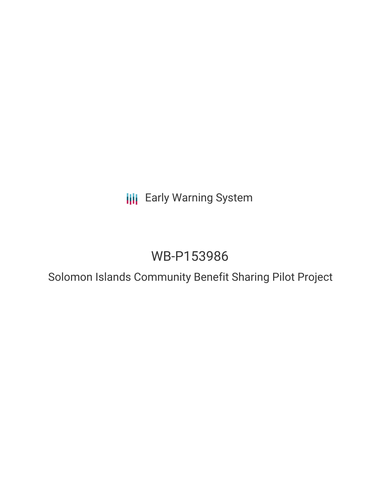**III** Early Warning System

# WB-P153986

Solomon Islands Community Benefit Sharing Pilot Project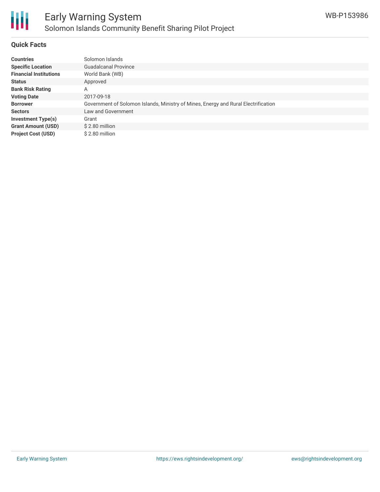

## **Quick Facts**

| <b>Countries</b>              | Solomon Islands                                                                    |
|-------------------------------|------------------------------------------------------------------------------------|
| <b>Specific Location</b>      | Guadalcanal Province                                                               |
| <b>Financial Institutions</b> | World Bank (WB)                                                                    |
| <b>Status</b>                 | Approved                                                                           |
| <b>Bank Risk Rating</b>       | А                                                                                  |
| <b>Voting Date</b>            | 2017-09-18                                                                         |
| <b>Borrower</b>               | Government of Solomon Islands, Ministry of Mines, Energy and Rural Electrification |
| <b>Sectors</b>                | Law and Government                                                                 |
| <b>Investment Type(s)</b>     | Grant                                                                              |
| <b>Grant Amount (USD)</b>     | $$2.80$ million                                                                    |
| <b>Project Cost (USD)</b>     | $$2.80$ million                                                                    |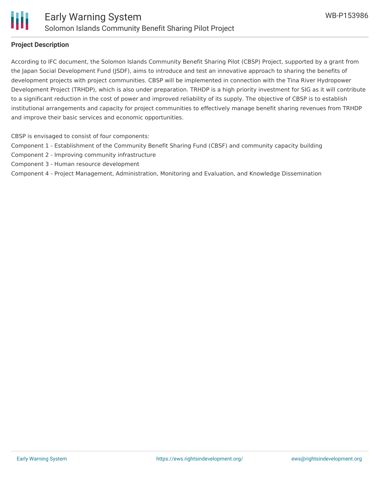

### **Project Description**

According to IFC document, the Solomon Islands Community Benefit Sharing Pilot (CBSP) Project, supported by a grant from the Japan Social Development Fund (JSDF), aims to introduce and test an innovative approach to sharing the benefits of development projects with project communities. CBSP will be implemented in connection with the Tina River Hydropower Development Project (TRHDP), which is also under preparation. TRHDP is a high priority investment for SIG as it will contribute to a significant reduction in the cost of power and improved reliability of its supply. The objective of CBSP is to establish institutional arrangements and capacity for project communities to effectively manage benefit sharing revenues from TRHDP and improve their basic services and economic opportunities.

CBSP is envisaged to consist of four components:

Component 1 - Establishment of the Community Benefit Sharing Fund (CBSF) and community capacity building

- Component 2 Improving community infrastructure
- Component 3 Human resource development
- Component 4 Project Management, Administration, Monitoring and Evaluation, and Knowledge Dissemination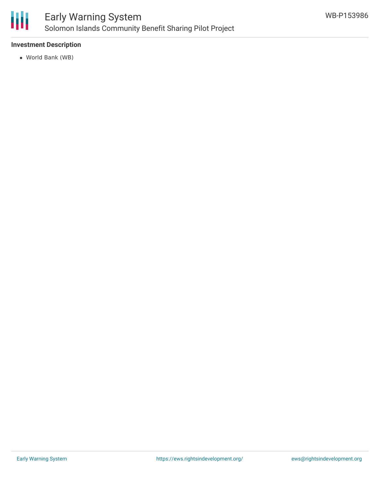

# **Investment Description**

World Bank (WB)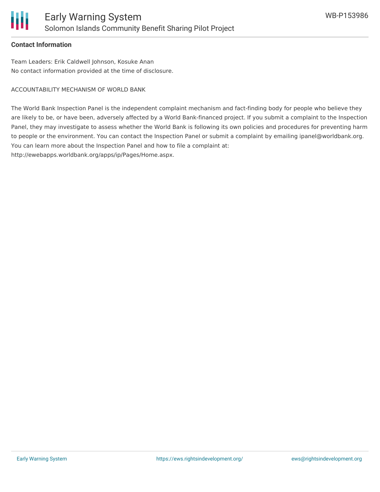### **Contact Information**

Team Leaders: Erik Caldwell Johnson, Kosuke Anan No contact information provided at the time of disclosure.

ACCOUNTABILITY MECHANISM OF WORLD BANK

The World Bank Inspection Panel is the independent complaint mechanism and fact-finding body for people who believe they are likely to be, or have been, adversely affected by a World Bank-financed project. If you submit a complaint to the Inspection Panel, they may investigate to assess whether the World Bank is following its own policies and procedures for preventing harm to people or the environment. You can contact the Inspection Panel or submit a complaint by emailing ipanel@worldbank.org. You can learn more about the Inspection Panel and how to file a complaint at: http://ewebapps.worldbank.org/apps/ip/Pages/Home.aspx.